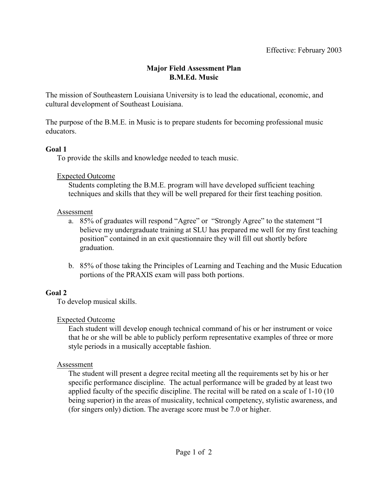### **Major Field Assessment Plan B.M.Ed. Music**

The mission of Southeastern Louisiana University is to lead the educational, economic, and cultural development of Southeast Louisiana.

The purpose of the B.M.E. in Music is to prepare students for becoming professional music educators.

#### **Goal 1**

To provide the skills and knowledge needed to teach music.

#### Expected Outcome

Students completing the B.M.E. program will have developed sufficient teaching techniques and skills that they will be well prepared for their first teaching position.

#### Assessment

- a. 85% of graduates will respond "Agree" or "Strongly Agree" to the statement "I believe my undergraduate training at SLU has prepared me well for my first teaching position" contained in an exit questionnaire they will fill out shortly before graduation.
- b. 85% of those taking the Principles of Learning and Teaching and the Music Education portions of the PRAXIS exam will pass both portions.

## **Goal 2**

To develop musical skills.

## Expected Outcome

Each student will develop enough technical command of his or her instrument or voice that he or she will be able to publicly perform representative examples of three or more style periods in a musically acceptable fashion.

## Assessment

The student will present a degree recital meeting all the requirements set by his or her specific performance discipline. The actual performance will be graded by at least two applied faculty of the specific discipline. The recital will be rated on a scale of 1-10 (10 being superior) in the areas of musicality, technical competency, stylistic awareness, and (for singers only) diction. The average score must be 7.0 or higher.